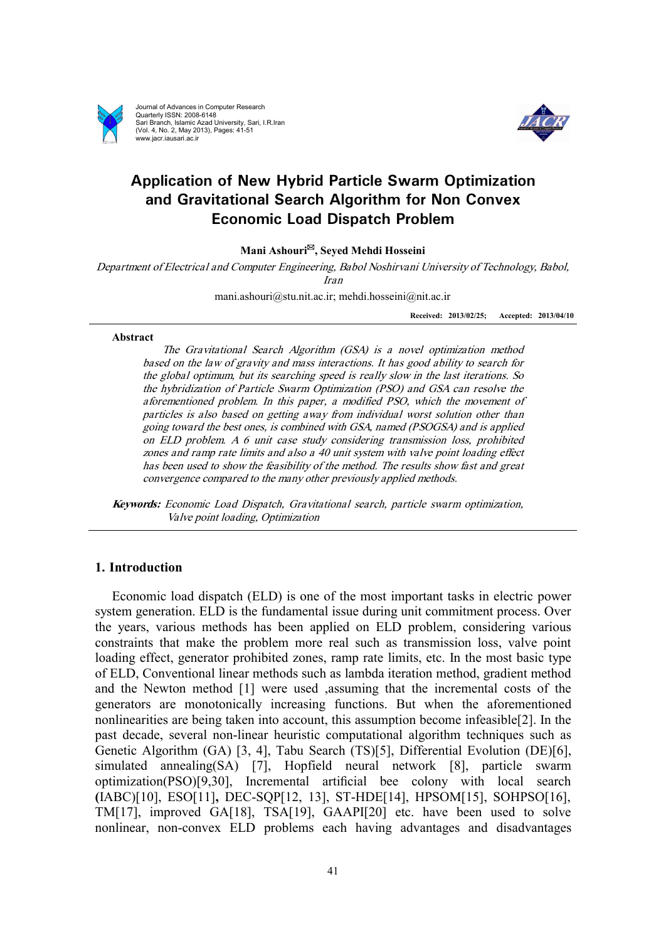

Journal of Advances in Computer Research Quarterly ISSN: 2008-6148 Sari Branch, Islamic Azad University, Sari, I.R.Iran (Vol. 4, No. 2, May 2013), Pages: 41-51 www.jacr.iausari.ac.ir



# **Application of New Hybrid Particle Swarm Optimization and Gravitational Search Algorithm for Non Convex Economic Load Dispatch Problem**

**Mani Ashouri\*, Seyed Mehdi Hosseini** 

*Department of Electrical and Computer Engineering, Babol Noshirvani University of Technology, Babol, Iran* 

mani.ashouri@stu.nit.ac.ir; mehdi.hosseini@nit.ac.ir

**Received: 2013/02/25; Accepted: 2013/04/10**

#### **Abstract**

*The Gravitational Search Algorithm (GSA) is <sup>a</sup> novel optimization method based on the law of gravity and mass interactions. It has good ability to search for the global optimum, but its searching speed is really slow in the last iterations. So the hybridization of Particle Swarm Optimization (PSO) and GSA can resolve the aforementioned problem. In this paper, <sup>a</sup> modified PSO, which the movement of particles is also based on getting away from individual worst solution other than going toward the best ones, is combined with GSA, named (PSOGSA) and is applied on ELD problem. A 6 unit case study considering transmission loss, prohibited zones and ramp rate limits and also <sup>a</sup> 40 unit system with valve point loading effect has been used to show the feasibility of the method. The results show fast and great convergence compared to the many other previously applied methods.* 

*Keywords: Economic Load Dispatch, Gravitational search, particle swarm optimization, Valve point loading, Optimization* 

## **1. Introduction**

 Economic load dispatch (ELD) is one of the most important tasks in electric power system generation. ELD is the fundamental issue during unit commitment process. Over the years, various methods has been applied on ELD problem, considering various constraints that make the problem more real such as transmission loss, valve point loading effect, generator prohibited zones, ramp rate limits, etc. In the most basic type of ELD, Conventional linear methods such as lambda iteration method, gradient method and the Newton method [1] were used ,assuming that the incremental costs of the generators are monotonically increasing functions. But when the aforementioned nonlinearities are being taken into account, this assumption become infeasible[2]. In the past decade, several non-linear heuristic computational algorithm techniques such as Genetic Algorithm (GA) [3, 4], Tabu Search (TS)[5], Differential Evolution (DE)[6], simulated annealing(SA) [7], Hopfield neural network [8], particle swarm optimization(PSO)[9,30], Incremental articial bee colony with local search **(**IABC)[10], ESO[11]**,** DEC-SQP[12, 13], ST-HDE[14], HPSOM[15], SOHPSO[16], TM[17], improved GA[18], TSA[19], GAAPI[20] etc. have been used to solve nonlinear, non-convex ELD problems each having advantages and disadvantages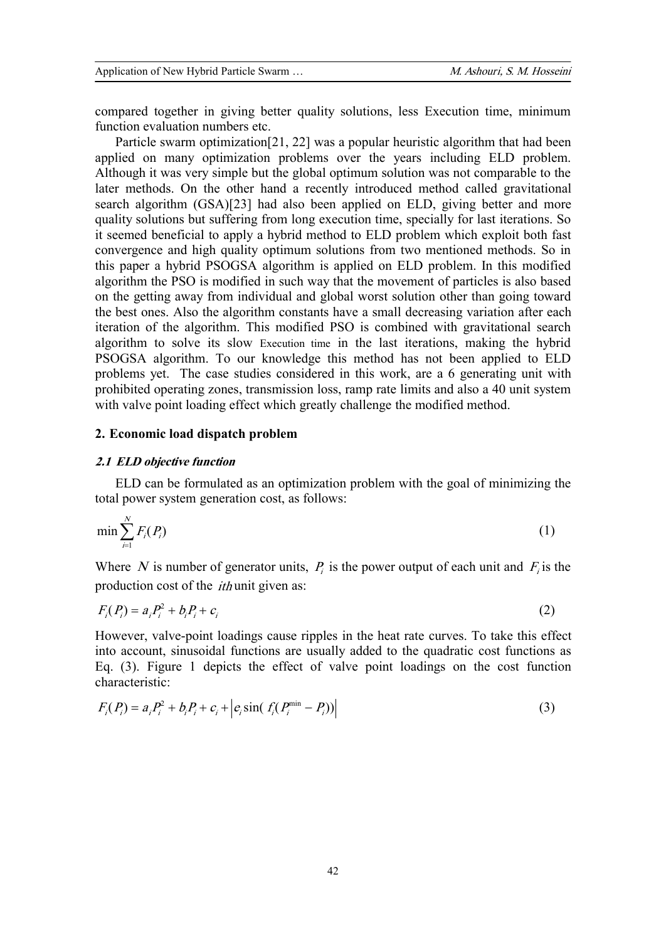compared together in giving better quality solutions, less Execution time, minimum function evaluation numbers etc.

 Particle swarm optimization[21, 22] was a popular heuristic algorithm that had been applied on many optimization problems over the years including ELD problem. Although it was very simple but the global optimum solution was not comparable to the later methods. On the other hand a recently introduced method called gravitational search algorithm (GSA)[23] had also been applied on ELD, giving better and more quality solutions but suffering from long execution time, specially for last iterations. So it seemed beneficial to apply a hybrid method to ELD problem which exploit both fast convergence and high quality optimum solutions from two mentioned methods. So in this paper a hybrid PSOGSA algorithm is applied on ELD problem. In this modified algorithm the PSO is modified in such way that the movement of particles is also based on the getting away from individual and global worst solution other than going toward the best ones. Also the algorithm constants have a small decreasing variation after each iteration of the algorithm. This modified PSO is combined with gravitational search algorithm to solve its slow Execution time in the last iterations, making the hybrid PSOGSA algorithm. To our knowledge this method has not been applied to ELD problems yet. The case studies considered in this work, are a 6 generating unit with prohibited operating zones, transmission loss, ramp rate limits and also a 40 unit system with valve point loading effect which greatly challenge the modified method.

## **2. Economic load dispatch problem**

#### *2.1 ELD objective function*

 ELD can be formulated as an optimization problem with the goal of minimizing the total power system generation cost, as follows:

$$
\min \sum_{i=1}^N F_i(P_i) \tag{1}
$$

Where N is number of generator units,  $P_i$  is the power output of each unit and  $F_i$  is the production cost of the *ith* unit given as:

$$
F_i(P_i) = a_i P_i^2 + b_i P_i + c_i
$$
 (2)

However, valve-point loadings cause ripples in the heat rate curves. To take this effect into account, sinusoidal functions are usually added to the quadratic cost functions as Eq. (3). Figure 1 depicts the effect of valve point loadings on the cost function characteristic:

$$
F_i(P_i) = a_i P_i^2 + b_i P_i + c_i + \left| e_i \sin(f_i(P_i^{\min} - P_i)) \right|
$$
\n(3)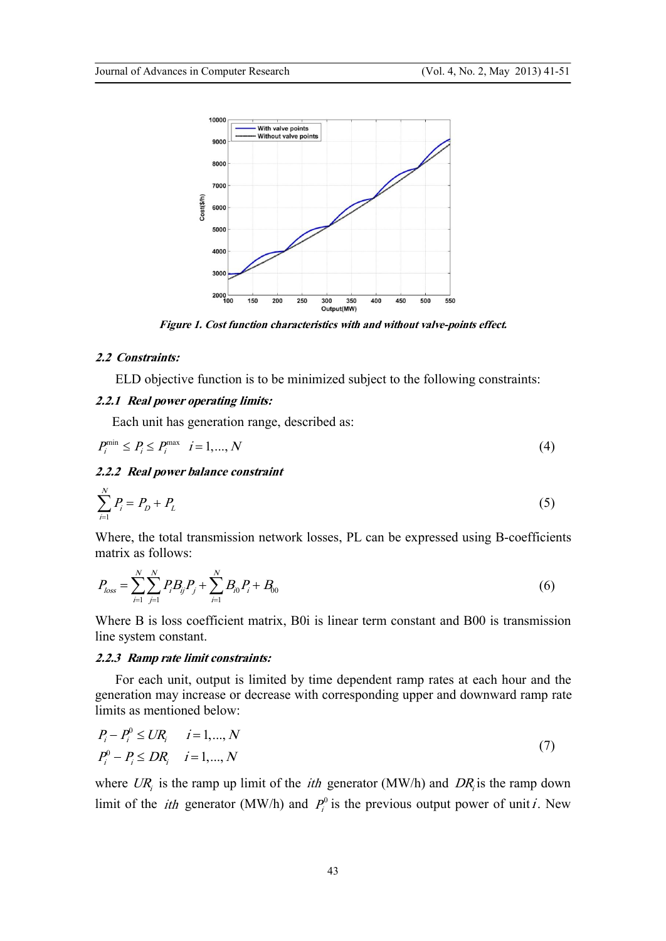

*Figure 1. Cost function characteristics with and without valve-points effect.* 

## *2.2 Constraints:*

ELD objective function is to be minimized subject to the following constraints:

## *2.2.1 Real power operating limits:*

Each unit has generation range, described as:

$$
P_i^{\min} \le P_i \le P_i^{\max} \quad i = 1, \dots, N \tag{4}
$$

## *2.2.2 Real power balance constraint*

$$
\sum_{i=1}^{N} P_i = P_D + P_L \tag{5}
$$

Where, the total transmission network losses, PL can be expressed using B-coefficients matrix as follows:

$$
P_{loss} = \sum_{i=1}^{N} \sum_{j=1}^{N} P_i B_{ij} P_j + \sum_{i=1}^{N} B_{i0} P_i + B_{00}
$$
(6)

Where B is loss coefficient matrix, B0i is linear term constant and B00 is transmission line system constant.

## *2.2.3 Ramp rate limit constraints:*

 For each unit, output is limited by time dependent ramp rates at each hour and the generation may increase or decrease with corresponding upper and downward ramp rate limits as mentioned below:

$$
P_i - P_i^0 \leq UR_i \qquad i = 1, ..., N
$$
  
\n
$$
P_i^0 - P_i \leq DR_i \qquad i = 1, ..., N
$$
 (7)

where  $UR_i$  is the ramp up limit of the *ith* generator (MW/h) and  $DR_i$  is the ramp down limit of the *ith* generator (MW/h) and  $P_i^0$  is the previous output power of unit *i*. New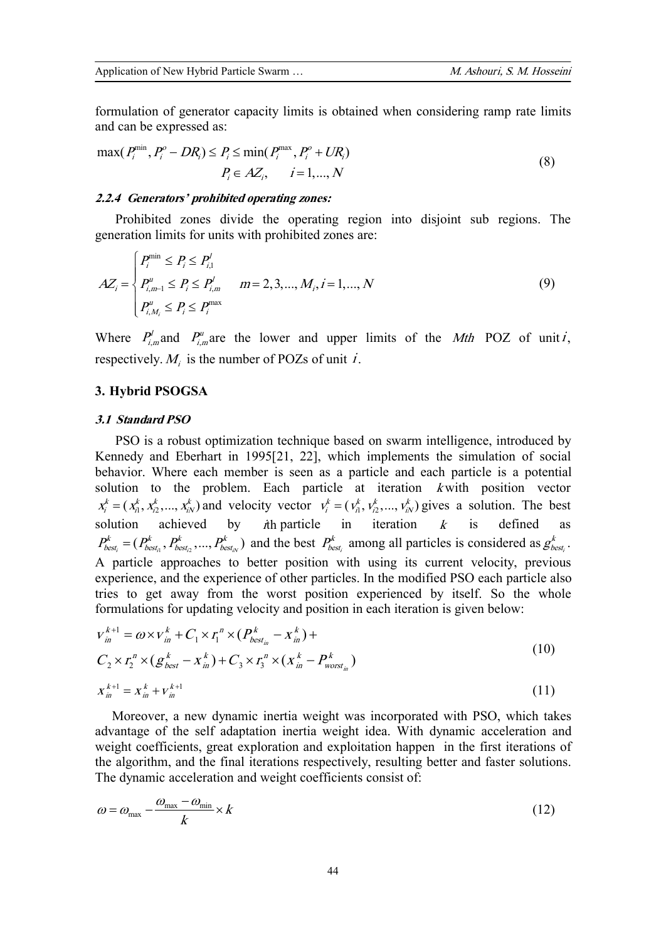formulation of generator capacity limits is obtained when considering ramp rate limits and can be expressed as:

$$
\max(P_i^{\min}, P_i^o - DR_i) \le P_i \le \min(P_i^{\max}, P_i^o + UR_i)
$$
  
\n
$$
P_i \in AZ_i, \quad i = 1, ..., N
$$
\n(8)

## *2.2.4 Generators' prohibited operating zones:*

 Prohibited zones divide the operating region into disjoint sub regions. The generation limits for units with prohibited zones are:

$$
AZ_i = \begin{cases} P_i^{\min} \le P_i \le P_{i,1}^j \\ P_{i,m-1}^u \le P_i \le P_{i,m}^l \\ P_{i,M_i}^u \le P_i \le P_i^{\max} \end{cases} \quad m = 2,3,..., M_i, i = 1,..., N
$$
 (9)

Where  $P_{i,m}^l$  and  $P_{i,m}^u$  are the lower and upper limits of the *Mth* POZ of unit*i*, respectively.  $M_i$  is the number of POZs of unit *i*.

## **3. Hybrid PSOGSA**

## *3.1 Standard PSO*

 PSO is a robust optimization technique based on swarm intelligence, introduced by Kennedy and Eberhart in 1995[21, 22], which implements the simulation of social behavior. Where each member is seen as a particle and each particle is a potential solution to the problem. Each particle at iteration *<sup>k</sup>* with position vector  $x_i^k = (x_{i1}^k, x_{i2}^k, ..., x_{iN}^k)$  and velocity vector  $v_i^k = (v_{i1}^k, v_{i2}^k, ..., v_{iN}^k)$  gives a solution. The best solution achieved by *i*th particle in iteration *<sup>k</sup>* is defined as  $\boldsymbol{h}_{i}^{t} = (P_{best_{i1}}^{k}, P_{best_{i2}}^{k}, ..., P_{best_{iN}}^{k})$  $P_{best_i}^k = (P_{best_i}^k, P_{best_i}^k, ..., P_{best_i}^k)$  and the best  $P_{best_i}^k$  $P_{best_i}^k$  among all particles is considered as  $g_{best_i}^k$ *k*  $g_{\textit{best}:}^{\textit{k}}$  . A particle approaches to better position with using its current velocity, previous experience, and the experience of other particles. In the modified PSO each particle also tries to get away from the worst position experienced by itself. So the whole formulations for updating velocity and position in each iteration is given below:

$$
v_{in}^{k+1} = \omega \times v_{in}^{k} + C_{1} \times r_{1}^{n} \times (P_{best_{in}}^{k} - x_{in}^{k}) +
$$
  
\n
$$
C_{2} \times r_{2}^{n} \times (g_{best}^{k} - x_{in}^{k}) + C_{3} \times r_{3}^{n} \times (x_{in}^{k} - P_{worst_{in}}^{k})
$$
  
\n
$$
x_{in}^{k+1} = x_{in}^{k} + v_{in}^{k+1}
$$
\n(11)

 Moreover, a new dynamic inertia weight was incorporated with PSO, which takes advantage of the self adaptation inertia weight idea. With dynamic acceleration and weight coefficients, great exploration and exploitation happen in the first iterations of the algorithm, and the final iterations respectively, resulting better and faster solutions. The dynamic acceleration and weight coefficients consist of:

$$
\omega = \omega_{\text{max}} - \frac{\omega_{\text{max}} - \omega_{\text{min}}}{k} \times k \tag{12}
$$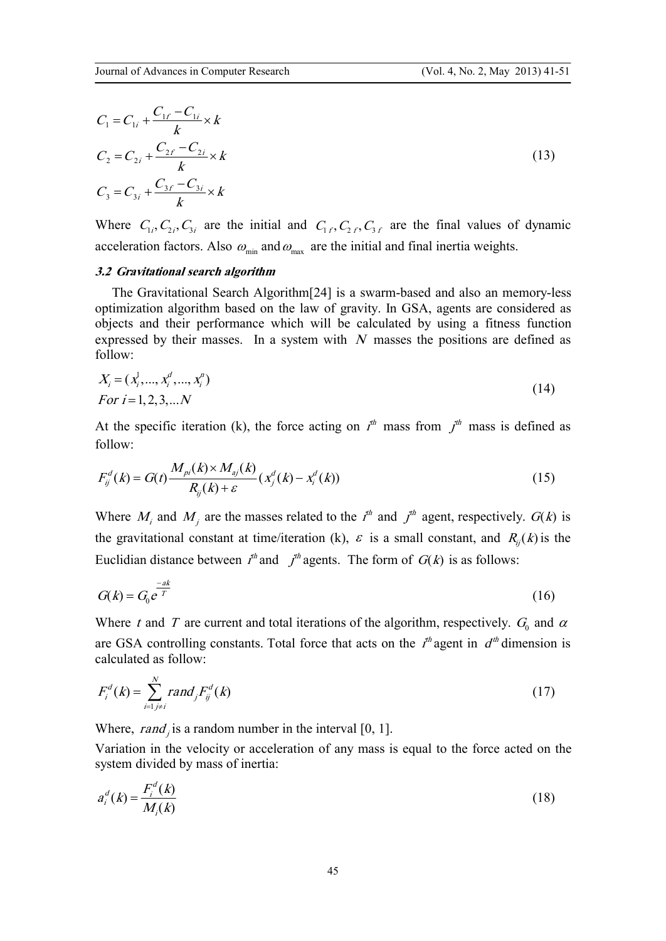$$
C_1 = C_{1i} + \frac{C_{1f} - C_{1i}}{k} \times k
$$
  
\n
$$
C_2 = C_{2i} + \frac{C_{2f} - C_{2i}}{k} \times k
$$
  
\n
$$
C_3 = C_{3i} + \frac{C_{3f} - C_{3i}}{k} \times k
$$
\n(13)

Where  $C_{1i}$ ,  $C_{2i}$ ,  $C_{3i}$  are the initial and  $C_{1f}$ ,  $C_{2f}$ ,  $C_{3f}$  are the final values of dynamic acceleration factors. Also  $\omega_{\text{min}}$  and  $\omega_{\text{max}}$  are the initial and final inertia weights.

## *3.2 Gravitational search algorithm*

 The Gravitational Search Algorithm[24] is a swarm-based and also an memory-less optimization algorithm based on the law of gravity. In GSA, agents are considered as objects and their performance which will be calculated by using a fitness function expressed by their masses. In a system with *<sup>N</sup>* masses the positions are defined as follow:

$$
X_i = (x_i^1, \dots, x_i^d, \dots, x_i^n)
$$
  
For  $i = 1, 2, 3, \dots N$  (14)

At the specific iteration (k), the force acting on  $I^h$  mass from  $I^h$  mass is defined as follow:

$$
F_{ij}^{d}(k) = G(t) \frac{M_{pi}(k) \times M_{ij}(k)}{R_{ij}(k) + \varepsilon} (x_{j}^{d}(k) - x_{i}^{d}(k))
$$
\n(15)

Where  $M_i$  and  $M_j$  are the masses related to the  $I^h$  and  $J^h$  agent, respectively.  $G(k)$  is the gravitational constant at time/iteration (k),  $\varepsilon$  is a small constant, and  $R_i(k)$  is the Euclidian distance between  $I<sup>th</sup>$  and  $I<sup>th</sup>$  agents. The form of  $G(k)$  is as follows:

$$
G(k) = G_0 e^{\frac{-ak}{T}}
$$
 (16)

Where *t* and *T* are current and total iterations of the algorithm, respectively.  $G_0$  and  $\alpha$ are GSA controlling constants. Total force that acts on the  $I^{\text{th}}$  agent in  $d^{\text{th}}$  dimension is calculated as follow:

$$
F_i^d(k) = \sum_{i=1}^N rand_j F_{ij}^d(k)
$$
 (17)

Where,  $rand_j$  is a random number in the interval [0, 1].

Variation in the velocity or acceleration of any mass is equal to the force acted on the system divided by mass of inertia:

$$
a_i^d(k) = \frac{F_i^d(k)}{M_i(k)}
$$
 (18)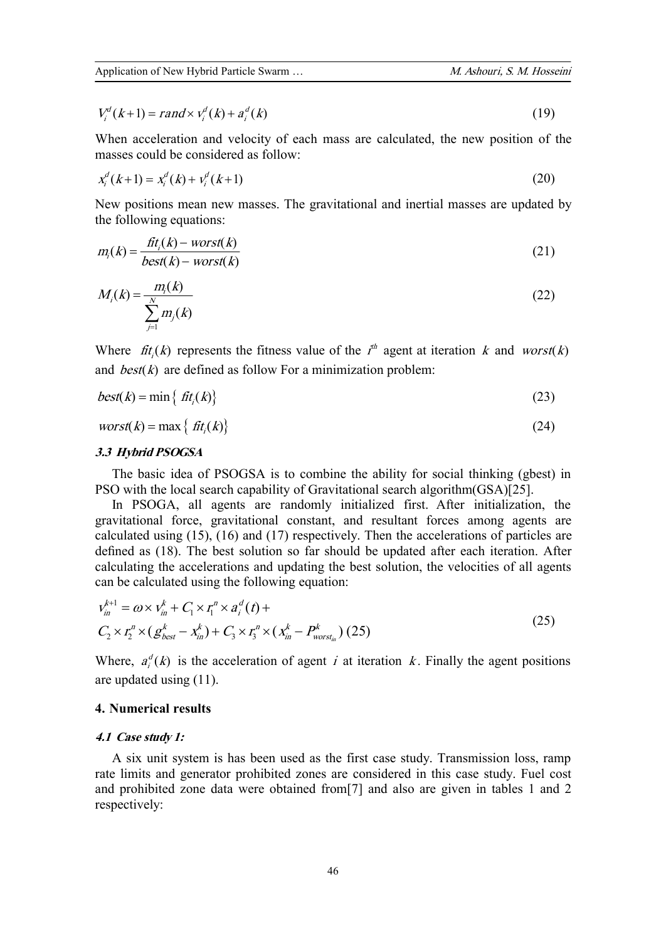$$
V_i^d(k+1) = rand \times V_i^d(k) + a_i^d(k)
$$
\n(19)

When acceleration and velocity of each mass are calculated, the new position of the masses could be considered as follow:

$$
x_i^d(k+1) = x_i^d(k) + v_i^d(k+1)
$$
\n(20)

New positions mean new masses. The gravitational and inertial masses are updated by the following equations:

$$
m_i(k) = \frac{fit_i(k) - worst(k)}{best(k) - worst(k)}
$$
\n(21)

$$
M_i(k) = \frac{m_i(k)}{\sum_{j=1}^{N} m_j(k)}
$$
 (22)

Where  $\hat{f}$ t<sub>i</sub>(k) represents the fitness value of the  $I^h$  agent at iteration k and *worst*(k) and *best* $(k)$  are defined as follow For a minimization problem:

$$
best(k) = \min\{ \text{ fit}_{i}(k) \} \tag{23}
$$

$$
worst(k) = \max\left\{ \, \text{fit}_i(k) \right\} \tag{24}
$$

## *3.3 Hybrid PSOGSA*

 The basic idea of PSOGSA is to combine the ability for social thinking (gbest) in PSO with the local search capability of Gravitational search algorithm(GSA)[25].

 In PSOGA, all agents are randomly initialized first. After initialization, the gravitational force, gravitational constant, and resultant forces among agents are calculated using (15), (16) and (17) respectively. Then the accelerations of particles are defined as (18). The best solution so far should be updated after each iteration. After calculating the accelerations and updating the best solution, the velocities of all agents can be calculated using the following equation:

$$
v_{in}^{k+1} = \omega \times v_{in}^k + C_1 \times r_i^n \times a_i^d(t) +
$$
  
\n
$$
C_2 \times r_i^n \times (g_{best}^k - x_{in}^k) + C_3 \times r_i^n \times (x_{in}^k - P_{worst_{in}}^k) (25)
$$
 (25)

Where,  $a_i^d(k)$  is the acceleration of agent *i* at iteration *k*. Finally the agent positions are updated using (11).

### **4. Numerical results**

### *4.1 Case study 1:*

 A six unit system is has been used as the first case study. Transmission loss, ramp rate limits and generator prohibited zones are considered in this case study. Fuel cost and prohibited zone data were obtained from[7] and also are given in tables 1 and 2 respectively: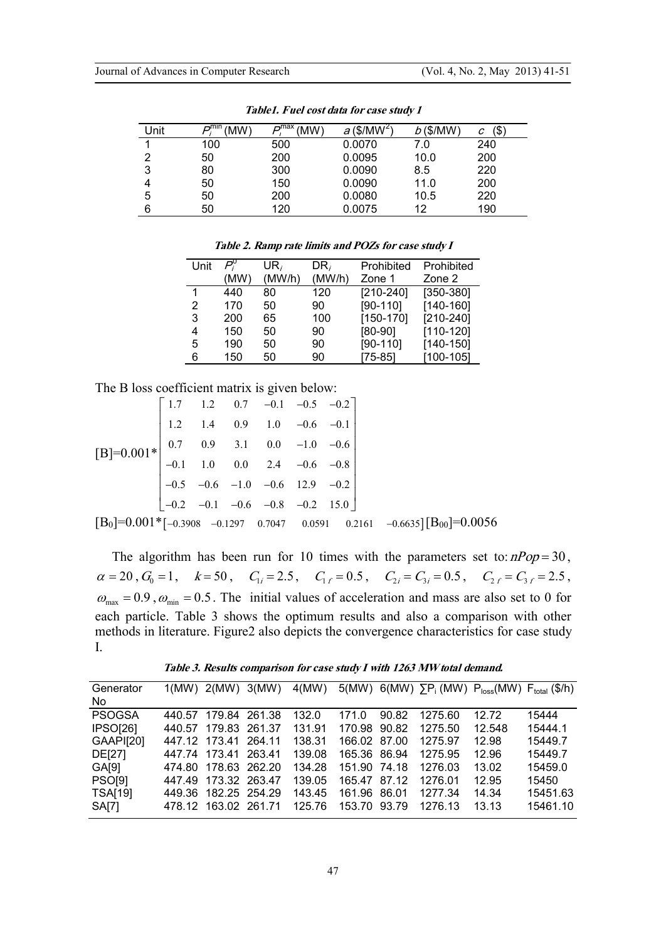| Unit | ⊶mın<br>(MW) | –max<br>(MW) | $a$ (\$/MW <sup>2</sup> ) | $b$ (\$/MW) | \$<br>C |
|------|--------------|--------------|---------------------------|-------------|---------|
|      | 100          | 500          | 0.0070                    | 7.0         | 240     |
| 2    | 50           | 200          | 0.0095                    | 10.0        | 200     |
| 3    | 80           | 300          | 0.0090                    | 8.5         | 220     |
| 4    | 50           | 150          | 0.0090                    | 11.0        | 200     |
| 5    | 50           | 200          | 0.0080                    | 10.5        | 220     |
| 6    | 50           | 120          | 0.0075                    | 12          | 190     |

*Table1. Fuel cost data for case study 1* 

*Table 2. Ramp rate limits and POZs for case study I* 

| Unit | P,   | $UR_i$ | DR <sub>i</sub> | Prohibited    | Prohibited    |
|------|------|--------|-----------------|---------------|---------------|
|      | (MW) | (MW/h) | (MW/h)          | Zone 1        | Zone 2        |
|      | 440  | 80     | 120             | $[210 - 240]$ | $[350 - 380]$ |
| 2    | 170  | 50     | 90              | $[90-110]$    | $[140 - 160]$ |
| 3    | 200  | 65     | 100             | $[150-170]$   | $[210 - 240]$ |
| 4    | 150  | 50     | 90              | $[80-90]$     | $[110-120]$   |
| 5    | 190  | 50     | 90              | $[90-110]$    | $[140-150]$   |
| 6    | 150  | 50     | 90              | $[75-85]$     | $[100-105]$   |

The B loss coefficient matrix is given below:

$$
[B]=0.001*\begin{bmatrix} 1.7 & 1.2 & 0.7 & -0.1 & -0.5 & -0.2 \\ 1.2 & 1.4 & 0.9 & 1.0 & -0.6 & -0.1 \\ 0.7 & 0.9 & 3.1 & 0.0 & -1.0 & -0.6 \\ -0.1 & 1.0 & 0.0 & 2.4 & -0.6 & -0.8 \\ -0.5 & -0.6 & -1.0 & -0.6 & 12.9 & -0.2 \\ -0.2 & -0.1 & -0.6 & -0.8 & -0.2 & 15.0 \end{bmatrix}
$$
  

$$
[B_0]=0.001*_{[-0.3908 -0.1297} 0.7047 0.0591 0.2161 -0.6635][B_{00}]=0.0056
$$

The algorithm has been run for 10 times with the parameters set to:  $nPop = 30$ ,  $\alpha = 20$ ,  $G_0 = 1$ ,  $k = 50$ ,  $C_{1i} = 2.5$ ,  $C_{1f} = 0.5$ ,  $C_{2i} = C_{3i} = 0.5$ ,  $C_{2f} = C_{3f} = 2.5$ ,  $\omega_{\text{max}} = 0.9$ ,  $\omega_{\text{min}} = 0.5$ . The initial values of acceleration and mass are also set to 0 for each particle. Table 3 shows the optimum results and also a comparison with other methods in literature. Figure2 also depicts the convergence characteristics for case study I.

*Table 3. Results comparison for case study I with 1263 MWtotal demand.* 

| Generator<br>No. | $1(MW)$ 2(MW) 3(MW)  | 4(MW)  |              |       |         | 5(MW) 6(MW) $\Sigma P_i$ (MW) $P_{loss}$ (MW) $F_{total}$ (\$/h) |          |
|------------------|----------------------|--------|--------------|-------|---------|------------------------------------------------------------------|----------|
|                  |                      |        |              |       |         |                                                                  |          |
| <b>PSOGSA</b>    | 440.57 179.84 261.38 | 132.0  | 171.0        | 90.82 | 1275.60 | 12.72                                                            | 15444    |
| <b>IPSO[26]</b>  | 440.57 179.83 261.37 | 131.91 | 170.98 90.82 |       | 1275.50 | 12.548                                                           | 15444.1  |
| GAAPI[20]        | 447.12 173.41 264.11 | 138.31 | 166.02 87.00 |       | 1275.97 | 12.98                                                            | 15449.7  |
| DE[27]           | 447.74 173.41 263.41 | 139.08 | 165.36 86.94 |       | 1275.95 | 12.96                                                            | 15449.7  |
| GA[9]            | 474.80 178.63 262.20 | 134.28 | 151.90 74.18 |       | 1276.03 | 13.02                                                            | 15459.0  |
| <b>PSO[9]</b>    | 447.49 173.32 263.47 | 139.05 | 165.47 87.12 |       | 1276.01 | 12.95                                                            | 15450    |
| <b>TSA[19]</b>   | 449.36 182.25 254.29 | 143.45 | 161.96 86.01 |       | 1277.34 | 14.34                                                            | 15451.63 |
| <b>SA[7]</b>     | 478.12 163.02 261.71 | 125.76 | 153.70 93.79 |       | 1276 13 | 13.13                                                            | 15461.10 |
|                  |                      |        |              |       |         |                                                                  |          |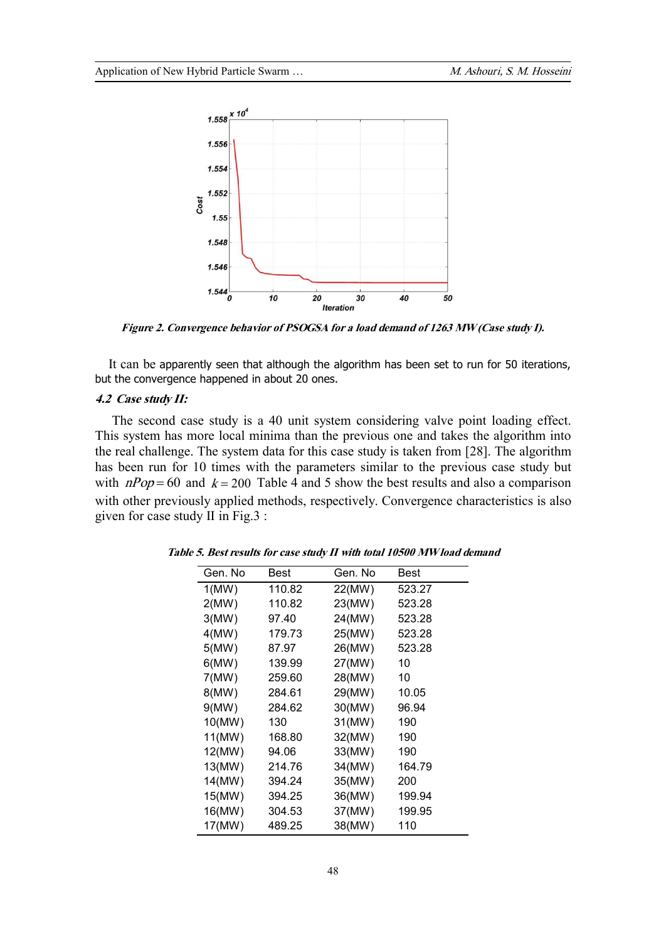

*Figure 2. Convergence behavior of PSOGSA for a load demand of 1263 MW (Case study I).* 

 It can be apparently seen that although the algorithm has been set to run for 50 iterations, but the convergence happened in about 20 ones.

## *4.2 Case study II:*

 The second case study is a 40 unit system considering valve point loading effect. This system has more local minima than the previous one and takes the algorithm into the real challenge. The system data for this case study is taken from [28]. The algorithm has been run for 10 times with the parameters similar to the previous case study but with  $nPop = 60$  and  $k = 200$  Table 4 and 5 show the best results and also a comparison with other previously applied methods, respectively. Convergence characteristics is also given for case study II in Fig.3 :

| Gen. No | Best   | Gen. No | Best   |
|---------|--------|---------|--------|
| 1(MW)   | 110.82 | 22(MW)  | 523.27 |
| 2(MW)   | 110.82 | 23(MW)  | 523.28 |
| 3(MW)   | 97.40  | 24(MW)  | 523.28 |
| 4(MW)   | 179.73 | 25(MW)  | 523.28 |
| 5(MW)   | 87.97  | 26(MW)  | 523.28 |
| 6(MW)   | 139.99 | 27(MW)  | 10     |
| 7(MW)   | 259.60 | 28(MW)  | 10     |
| 8(MW)   | 284.61 | 29(MW)  | 10.05  |
| 9(MW)   | 284.62 | 30(MW)  | 96.94  |
| 10(MW)  | 130    | 31(MW)  | 190    |
| 11(MW)  | 168.80 | 32(MW)  | 190    |
| 12(MW)  | 94.06  | 33(MW)  | 190    |
| 13(MW)  | 214.76 | 34(MW)  | 164.79 |
| 14(MW)  | 394.24 | 35(MW)  | 200    |
| 15(MW)  | 394.25 | 36(MW)  | 199.94 |
| 16(MW)  | 304.53 | 37(MW)  | 199.95 |
| 17(MW)  | 489.25 | 38(MW)  | 110    |

*Table 5. Best results for case study II with total 10500 MW load demand*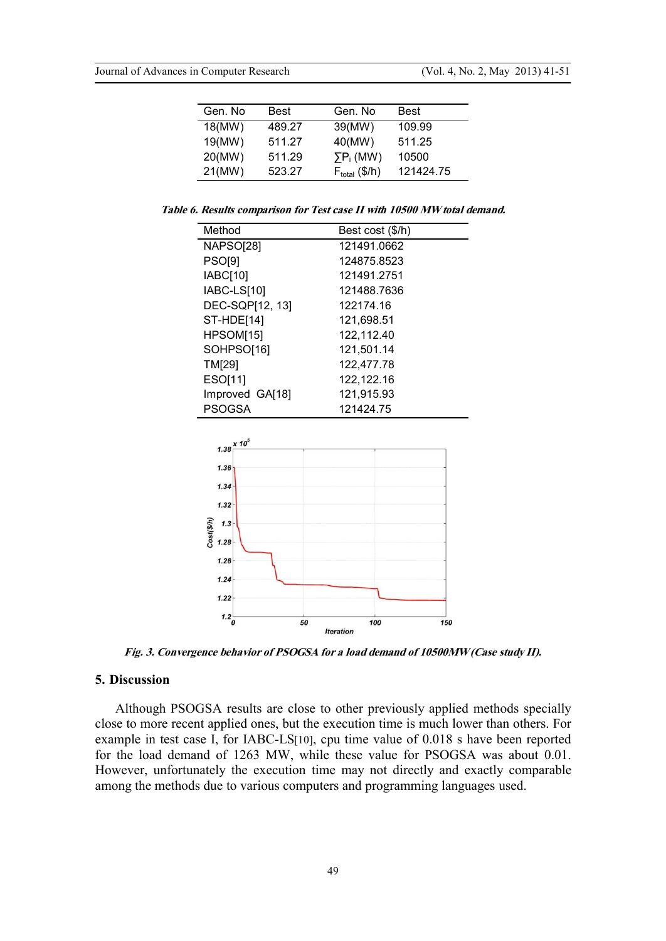| Gen. No | Best   | Gen. No                   | <b>Best</b> |
|---------|--------|---------------------------|-------------|
| 18(MW)  | 489.27 | 39(MW)                    | 109.99      |
| 19(MW)  | 511.27 | 40(MW)                    | 511.25      |
| 20(MW)  | 511.29 | $\Sigma P_i$ (MW)         | 10500       |
| 21(MW)  | 523.27 | $F_{\text{total}}$ (\$/h) | 121424.75   |

*Table 6. Results comparison for Test case II with 10500 MWtotal demand.* 

| Method           | Best cost (\$/h) |
|------------------|------------------|
| <b>NAPSO[28]</b> | 121491.0662      |
| <b>PSO[9]</b>    | 124875.8523      |
| <b>IABC[10]</b>  | 121491.2751      |
| IABC-LS[10]      | 121488.7636      |
| DEC-SQP[12, 13]  | 122174.16        |
| ST-HDE[14]       | 121,698.51       |
| HPSOM[15]        | 122,112.40       |
| SOHPSO[16]       | 121,501.14       |
| <b>TM[29]</b>    | 122,477.78       |
| ESO[11]          | 122,122.16       |
| Improved GA[18]  | 121,915.93       |
| <b>PSOGSA</b>    | 121424.75        |



*Fig. 3. Convergence behavior of PSOGSA for a load demand of 10500MW (Case study II).* 

### **5. Discussion**

 Although PSOGSA results are close to other previously applied methods specially close to more recent applied ones, but the execution time is much lower than others. For example in test case I, for IABC-LS[10], cpu time value of 0.018 s have been reported for the load demand of 1263 MW, while these value for PSOGSA was about 0.01. However, unfortunately the execution time may not directly and exactly comparable among the methods due to various computers and programming languages used.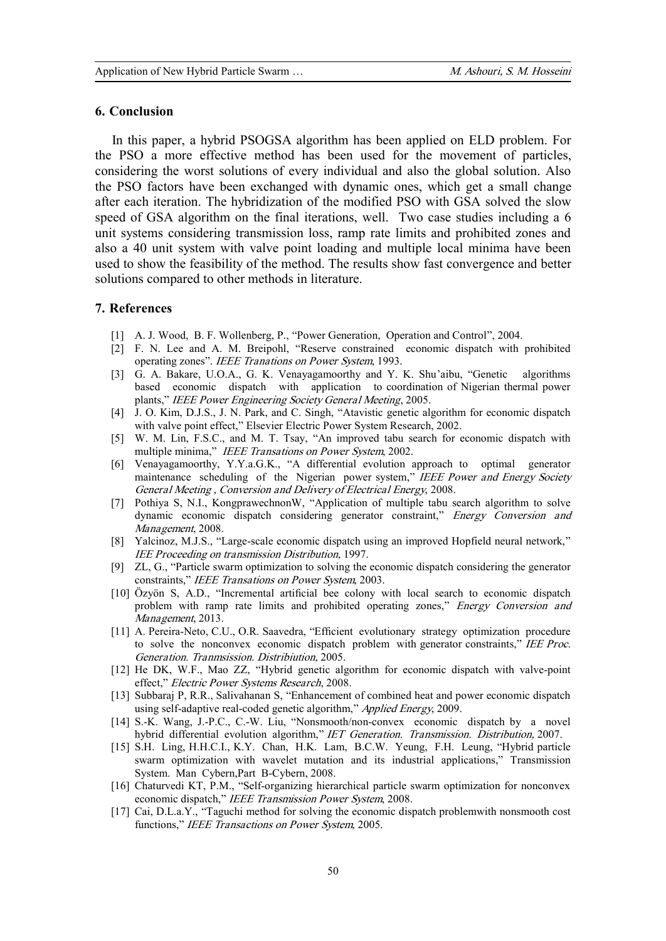#### **6. Conclusion**

 In this paper, a hybrid PSOGSA algorithm has been applied on ELD problem. For the PSO a more effective method has been used for the movement of particles, considering the worst solutions of every individual and also the global solution. Also the PSO factors have been exchanged with dynamic ones, which get a small change after each iteration. The hybridization of the modified PSO with GSA solved the slow speed of GSA algorithm on the final iterations, well. Two case studies including a 6 unit systems considering transmission loss, ramp rate limits and prohibited zones and also a 40 unit system with valve point loading and multiple local minima have been used to show the feasibility of the method. The results show fast convergence and better solutions compared to other methods in literature.

## **7. References**

- [1] A. J. Wood, B. F. Wollenberg, P., "Power Generation, Operation and Control", 2004.
- [2] F. N. Lee and A. M. Breipohl, "Reserve constrained economic dispatch with prohibited operating zones". *IEEE Tranations on Power System*, 1993.
- [3] G. A. Bakare, U.O.A., G. K. Venayagamoorthy and Y. K. Shu'aibu, "Genetic algorithms based economic dispatch with application to coordination of Nigerian thermal power plants," *IEEE Power Engineering Society General Meeting*, 2005.
- [4] J. O. Kim, D.J.S., J. N. Park, and C. Singh, "Atavistic genetic algorithm for economic dispatch with valve point effect," Elsevier Electric Power System Research, 2002.
- [5] W. M. Lin, F.S.C., and M. T. Tsay, "An improved tabu search for economic dispatch with multiple minima," *IEEE Transations on Power System*, 2002.
- [6] Venayagamoorthy, Y.Y.a.G.K., "A differential evolution approach to optimal generator maintenance scheduling of the Nigerian power system," *IEEE Power and Energy Society General Meeting , Conversion and Delivery of Electrical Energy,* 2008.
- [7] Pothiya S, N.I., KongprawechnonW, "Application of multiple tabu search algorithm to solve dynamic economic dispatch considering generator constraint," *Energy Conversion and Management*, 2008.
- [8] Yalcinoz, M.J.S., "Large-scale economic dispatch using an improved Hopfield neural network," *IEE Proceeding on transmission Distribution,* 1997.
- [9] ZL, G., "Particle swarm optimization to solving the economic dispatch considering the generator constraints," *IEEE Transations on Power System,* 2003.
- [10] Özyön S, A.D., "Incremental articial bee colony with local search to economic dispatch problem with ramp rate limits and prohibited operating zones," *Energy Conversion and Management*, 2013.
- [11] A. Pereira-Neto, C.U., O.R. Saavedra, "Efficient evolutionary strategy optimization procedure to solve the nonconvex economic dispatch problem with generator constraints," *IEE Proc. Generation. Tranmsission. Distribiution,* 2005.
- [12] He DK, W.F., Mao ZZ, "Hybrid genetic algorithm for economic dispatch with valve-point effect," *Electric Power Systems Research*, 2008.
- [13] Subbaraj P, R.R., Salivahanan S, "Enhancement of combined heat and power economic dispatch using self-adaptive real-coded genetic algorithm," *Applied Energy*, 2009.
- [14] S.-K. Wang, J.-P.C., C.-W. Liu, "Nonsmooth/non-convex economic dispatch by a novel hybrid differential evolution algorithm," *IET Generation. Transmission. Distribution,* 2007.
- [15] S.H. Ling, H.H.C.I., K.Y. Chan, H.K. Lam, B.C.W. Yeung, F.H. Leung, "Hybrid particle swarm optimization with wavelet mutation and its industrial applications," Transmission System. Man Cybern,Part B-Cybern, 2008.
- [16] Chaturvedi KT, P.M., "Self-organizing hierarchical particle swarm optimization for nonconvex economic dispatch," *IEEE Transmission Power System*, 2008.
- [17] Cai, D.L.a.Y., "Taguchi method for solving the economic dispatch problemwith nonsmooth cost functions," *IEEE Transactions on Power System,* 2005.